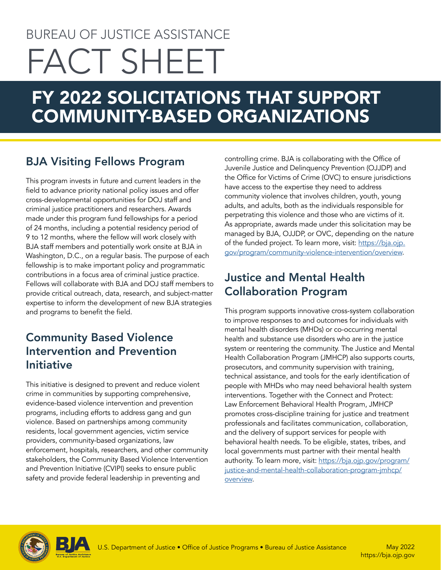# BUREAU OF JUSTICE ASSISTANCE FACT SHEET

## FY 2022 SOLICITATIONS THAT SUPPORT COMMUNITY-BASED ORGANIZATIONS

### BJA Visiting Fellows Program

This program invests in future and current leaders in the field to advance priority national policy issues and offer cross-developmental opportunities for DOJ staff and criminal justice practitioners and researchers. Awards made under this program fund fellowships for a period of 24 months, including a potential residency period of 9 to 12 months, where the fellow will work closely with BJA staff members and potentially work onsite at BJA in Washington, D.C., on a regular basis. The purpose of each fellowship is to make important policy and programmatic contributions in a focus area of criminal justice practice. Fellows will collaborate with BJA and DOJ staff members to provide critical outreach, data, research, and subject-matter expertise to inform the development of new BJA strategies and programs to benefit the field.

#### Community Based Violence Intervention and Prevention Initiative

This initiative is designed to prevent and reduce violent crime in communities by supporting comprehensive, evidence-based violence intervention and prevention programs, including efforts to address gang and gun violence. Based on partnerships among community residents, local government agencies, victim service providers, community-based organizations, law enforcement, hospitals, researchers, and other community stakeholders, the Community Based Violence Intervention and Prevention Initiative (CVIPI) seeks to ensure public safety and provide federal leadership in preventing and

controlling crime. BJA is collaborating with the Office of Juvenile Justice and Delinquency Prevention (OJJDP) and the Office for Victims of Crime (OVC) to ensure jurisdictions have access to the expertise they need to address community violence that involves children, youth, young adults, and adults, both as the individuals responsible for perpetrating this violence and those who are victims of it. As appropriate, awards made under this solicitation may be managed by BJA, OJJDP, or OVC, depending on the nature of the funded project. To learn more, visit: [https://bja.ojp.](https://bja.ojp.gov/program/community-violence-intervention/overview) [gov/program/community-violence-intervention/overview.](https://bja.ojp.gov/program/community-violence-intervention/overview)

#### Justice and Mental Health Collaboration Program

This program supports innovative cross-system collaboration to improve responses to and outcomes for individuals with mental health disorders (MHDs) or co-occurring mental health and substance use disorders who are in the justice system or reentering the community. The Justice and Mental Health Collaboration Program (JMHCP) also supports courts, prosecutors, and community supervision with training, technical assistance, and tools for the early identification of people with MHDs who may need behavioral health system interventions. Together with the Connect and Protect: Law Enforcement Behavioral Health Program, JMHCP promotes cross-discipline training for justice and treatment professionals and facilitates communication, collaboration, and the delivery of support services for people with behavioral health needs. To be eligible, states, tribes, and local governments must partner with their mental health authority. To learn more, visit: [https://bja.ojp.gov/program/](https://bja.ojp.gov/program/justice-and-mental-health-collaboration-program-jmhcp/overview) [justice-and-mental-health-collaboration-program-jmhcp/](https://bja.ojp.gov/program/justice-and-mental-health-collaboration-program-jmhcp/overview) [overview](https://bja.ojp.gov/program/justice-and-mental-health-collaboration-program-jmhcp/overview).



<https://bja.ojp.gov>